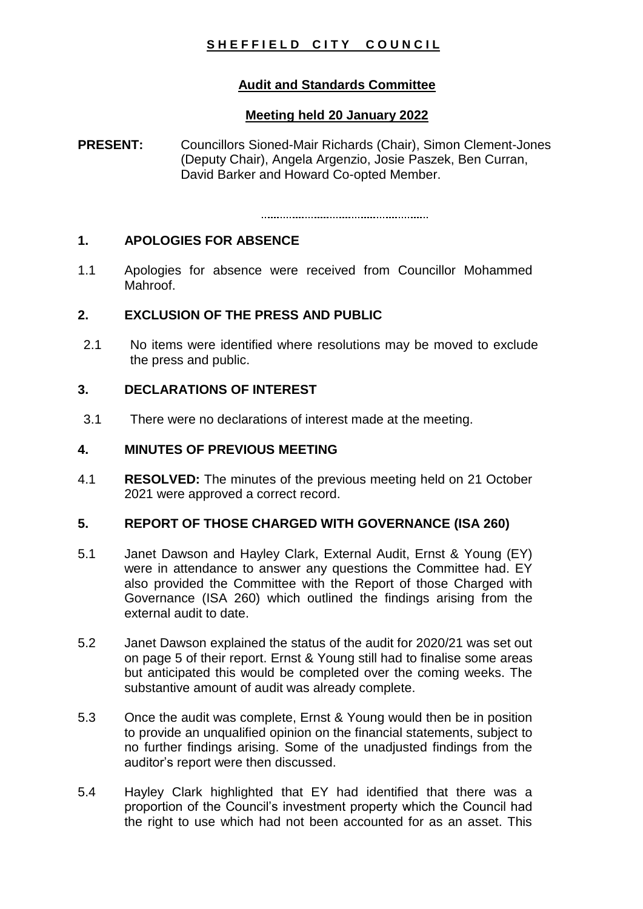# **SHEFFIELD CITY COUNCIL**

# **Audit and Standards Committee**

# **Meeting held 20 January 2022**

**PRESENT:** Councillors Sioned-Mair Richards (Chair), Simon Clement-Jones (Deputy Chair), Angela Argenzio, Josie Paszek, Ben Curran, David Barker and Howard Co-opted Member.

# **1. APOLOGIES FOR ABSENCE**

1.1 Apologies for absence were received from Councillor Mohammed Mahroof

#### **2. EXCLUSION OF THE PRESS AND PUBLIC**

2.1 No items were identified where resolutions may be moved to exclude the press and public.

# **3. DECLARATIONS OF INTEREST**

3.1 There were no declarations of interest made at the meeting.

### **4. MINUTES OF PREVIOUS MEETING**

4.1 **RESOLVED:** The minutes of the previous meeting held on 21 October 2021 were approved a correct record.

#### **5. REPORT OF THOSE CHARGED WITH GOVERNANCE (ISA 260)**

- 5.1 Janet Dawson and Hayley Clark, External Audit, Ernst & Young (EY) were in attendance to answer any questions the Committee had. EY also provided the Committee with the Report of those Charged with Governance (ISA 260) which outlined the findings arising from the external audit to date.
- 5.2 Janet Dawson explained the status of the audit for 2020/21 was set out on page 5 of their report. Ernst & Young still had to finalise some areas but anticipated this would be completed over the coming weeks. The substantive amount of audit was already complete.
- 5.3 Once the audit was complete, Ernst & Young would then be in position to provide an unqualified opinion on the financial statements, subject to no further findings arising. Some of the unadjusted findings from the auditor's report were then discussed.
- 5.4 Hayley Clark highlighted that EY had identified that there was a proportion of the Council's investment property which the Council had the right to use which had not been accounted for as an asset. This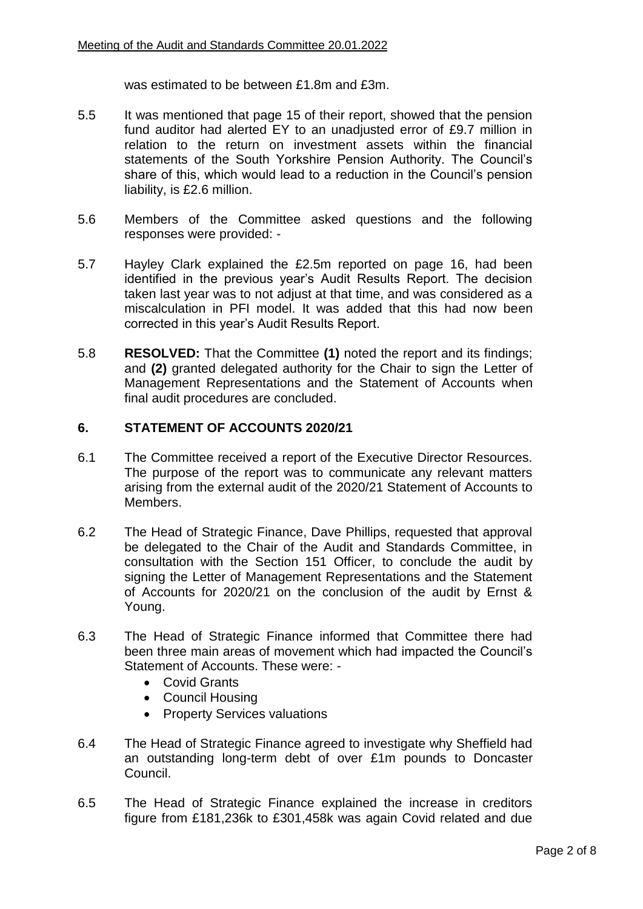was estimated to be between £1.8m and £3m.

- 5.5 It was mentioned that page 15 of their report, showed that the pension fund auditor had alerted EY to an unadjusted error of £9.7 million in relation to the return on investment assets within the financial statements of the South Yorkshire Pension Authority. The Council's share of this, which would lead to a reduction in the Council's pension liability, is £2.6 million.
- 5.6 Members of the Committee asked questions and the following responses were provided: -
- 5.7 Hayley Clark explained the £2.5m reported on page 16, had been identified in the previous year's Audit Results Report. The decision taken last year was to not adjust at that time, and was considered as a miscalculation in PFI model. It was added that this had now been corrected in this year's Audit Results Report.
- 5.8 **RESOLVED:** That the Committee **(1)** noted the report and its findings; and **(2)** granted delegated authority for the Chair to sign the Letter of Management Representations and the Statement of Accounts when final audit procedures are concluded.

#### **6. STATEMENT OF ACCOUNTS 2020/21**

- 6.1 The Committee received a report of the Executive Director Resources. The purpose of the report was to communicate any relevant matters arising from the external audit of the 2020/21 Statement of Accounts to Members.
- 6.2 The Head of Strategic Finance, Dave Phillips, requested that approval be delegated to the Chair of the Audit and Standards Committee, in consultation with the Section 151 Officer, to conclude the audit by signing the Letter of Management Representations and the Statement of Accounts for 2020/21 on the conclusion of the audit by Ernst & Young.
- 6.3 The Head of Strategic Finance informed that Committee there had been three main areas of movement which had impacted the Council's Statement of Accounts. These were: -
	- Covid Grants
	- Council Housing
	- Property Services valuations
- 6.4 The Head of Strategic Finance agreed to investigate why Sheffield had an outstanding long-term debt of over £1m pounds to Doncaster Council.
- 6.5 The Head of Strategic Finance explained the increase in creditors figure from £181,236k to £301,458k was again Covid related and due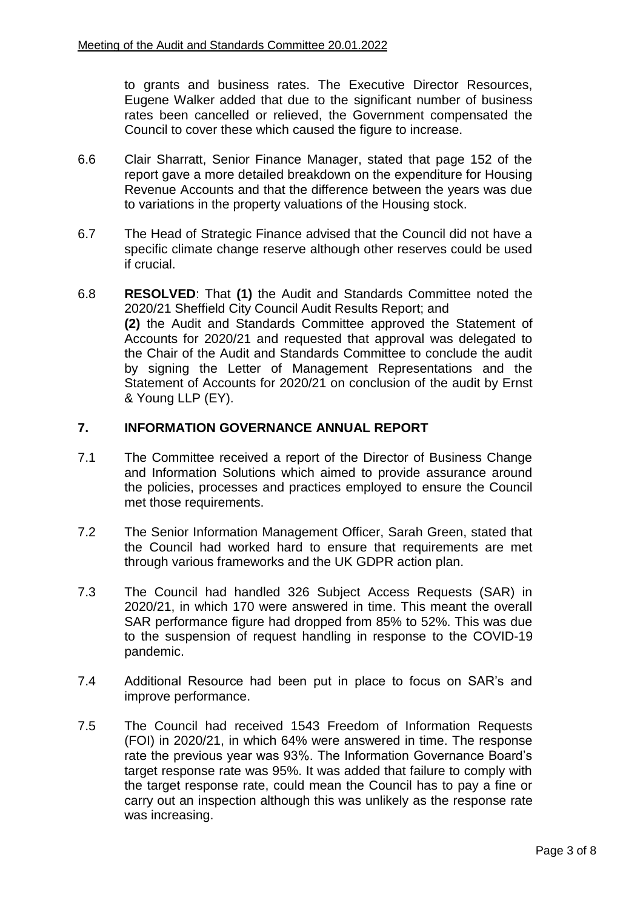to grants and business rates. The Executive Director Resources, Eugene Walker added that due to the significant number of business rates been cancelled or relieved, the Government compensated the Council to cover these which caused the figure to increase.

- 6.6 Clair Sharratt, Senior Finance Manager, stated that page 152 of the report gave a more detailed breakdown on the expenditure for Housing Revenue Accounts and that the difference between the years was due to variations in the property valuations of the Housing stock.
- 6.7 The Head of Strategic Finance advised that the Council did not have a specific climate change reserve although other reserves could be used if crucial.
- 6.8 **RESOLVED**: That **(1)** the Audit and Standards Committee noted the 2020/21 Sheffield City Council Audit Results Report; and **(2)** the Audit and Standards Committee approved the Statement of Accounts for 2020/21 and requested that approval was delegated to the Chair of the Audit and Standards Committee to conclude the audit by signing the Letter of Management Representations and the Statement of Accounts for 2020/21 on conclusion of the audit by Ernst & Young LLP (EY).

#### **7. INFORMATION GOVERNANCE ANNUAL REPORT**

- 7.1 The Committee received a report of the Director of Business Change and Information Solutions which aimed to provide assurance around the policies, processes and practices employed to ensure the Council met those requirements.
- 7.2 The Senior Information Management Officer, Sarah Green, stated that the Council had worked hard to ensure that requirements are met through various frameworks and the UK GDPR action plan.
- 7.3 The Council had handled 326 Subject Access Requests (SAR) in 2020/21, in which 170 were answered in time. This meant the overall SAR performance figure had dropped from 85% to 52%. This was due to the suspension of request handling in response to the COVID-19 pandemic.
- 7.4 Additional Resource had been put in place to focus on SAR's and improve performance.
- 7.5 The Council had received 1543 Freedom of Information Requests (FOI) in 2020/21, in which 64% were answered in time. The response rate the previous year was 93%. The Information Governance Board's target response rate was 95%. It was added that failure to comply with the target response rate, could mean the Council has to pay a fine or carry out an inspection although this was unlikely as the response rate was increasing.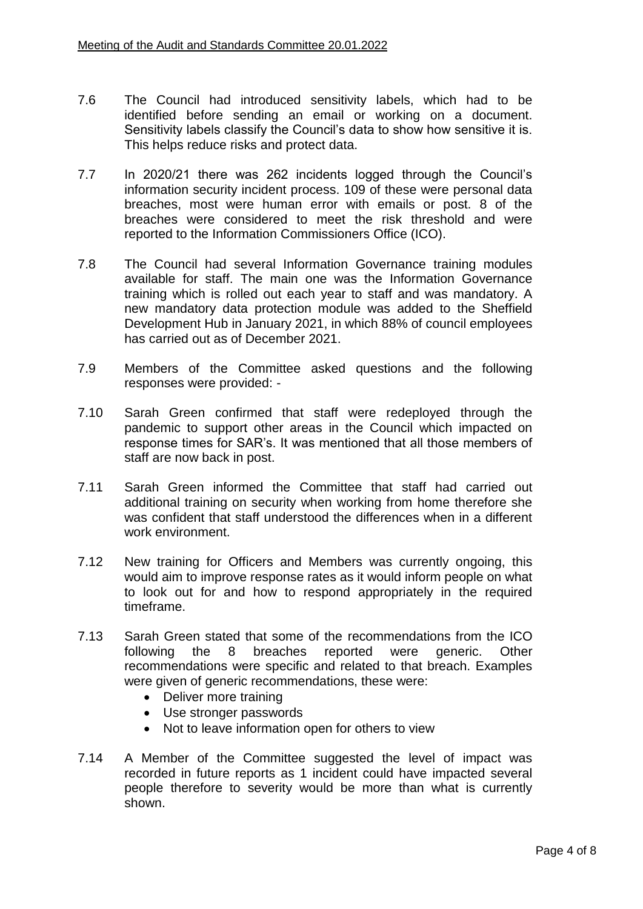- 7.6 The Council had introduced sensitivity labels, which had to be identified before sending an email or working on a document. Sensitivity labels classify the Council's data to show how sensitive it is. This helps reduce risks and protect data.
- 7.7 In 2020/21 there was 262 incidents logged through the Council's information security incident process. 109 of these were personal data breaches, most were human error with emails or post. 8 of the breaches were considered to meet the risk threshold and were reported to the Information Commissioners Office (ICO).
- 7.8 The Council had several Information Governance training modules available for staff. The main one was the Information Governance training which is rolled out each year to staff and was mandatory. A new mandatory data protection module was added to the Sheffield Development Hub in January 2021, in which 88% of council employees has carried out as of December 2021.
- 7.9 Members of the Committee asked questions and the following responses were provided: -
- 7.10 Sarah Green confirmed that staff were redeployed through the pandemic to support other areas in the Council which impacted on response times for SAR's. It was mentioned that all those members of staff are now back in post.
- 7.11 Sarah Green informed the Committee that staff had carried out additional training on security when working from home therefore she was confident that staff understood the differences when in a different work environment.
- 7.12 New training for Officers and Members was currently ongoing, this would aim to improve response rates as it would inform people on what to look out for and how to respond appropriately in the required timeframe.
- 7.13 Sarah Green stated that some of the recommendations from the ICO following the 8 breaches reported were generic. Other recommendations were specific and related to that breach. Examples were given of generic recommendations, these were:
	- Deliver more training
	- Use stronger passwords
	- Not to leave information open for others to view
- 7.14 A Member of the Committee suggested the level of impact was recorded in future reports as 1 incident could have impacted several people therefore to severity would be more than what is currently shown.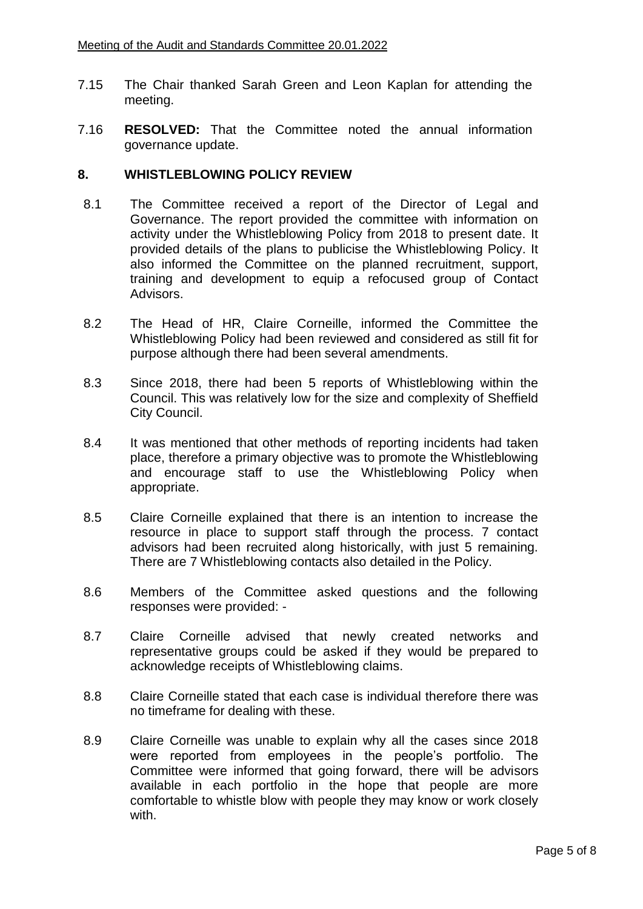- 7.15 The Chair thanked Sarah Green and Leon Kaplan for attending the meeting.
- 7.16 **RESOLVED:** That the Committee noted the annual information governance update.

#### **8. WHISTLEBLOWING POLICY REVIEW**

- 8.1 The Committee received a report of the Director of Legal and Governance. The report provided the committee with information on activity under the Whistleblowing Policy from 2018 to present date. It provided details of the plans to publicise the Whistleblowing Policy. It also informed the Committee on the planned recruitment, support, training and development to equip a refocused group of Contact Advisors.
- 8.2 The Head of HR, Claire Corneille, informed the Committee the Whistleblowing Policy had been reviewed and considered as still fit for purpose although there had been several amendments.
- 8.3 Since 2018, there had been 5 reports of Whistleblowing within the Council. This was relatively low for the size and complexity of Sheffield City Council.
- 8.4 It was mentioned that other methods of reporting incidents had taken place, therefore a primary objective was to promote the Whistleblowing and encourage staff to use the Whistleblowing Policy when appropriate.
- 8.5 Claire Corneille explained that there is an intention to increase the resource in place to support staff through the process. 7 contact advisors had been recruited along historically, with just 5 remaining. There are 7 Whistleblowing contacts also detailed in the Policy.
- 8.6 Members of the Committee asked questions and the following responses were provided: -
- 8.7 Claire Corneille advised that newly created networks and representative groups could be asked if they would be prepared to acknowledge receipts of Whistleblowing claims.
- 8.8 Claire Corneille stated that each case is individual therefore there was no timeframe for dealing with these.
- 8.9 Claire Corneille was unable to explain why all the cases since 2018 were reported from employees in the people's portfolio. The Committee were informed that going forward, there will be advisors available in each portfolio in the hope that people are more comfortable to whistle blow with people they may know or work closely with.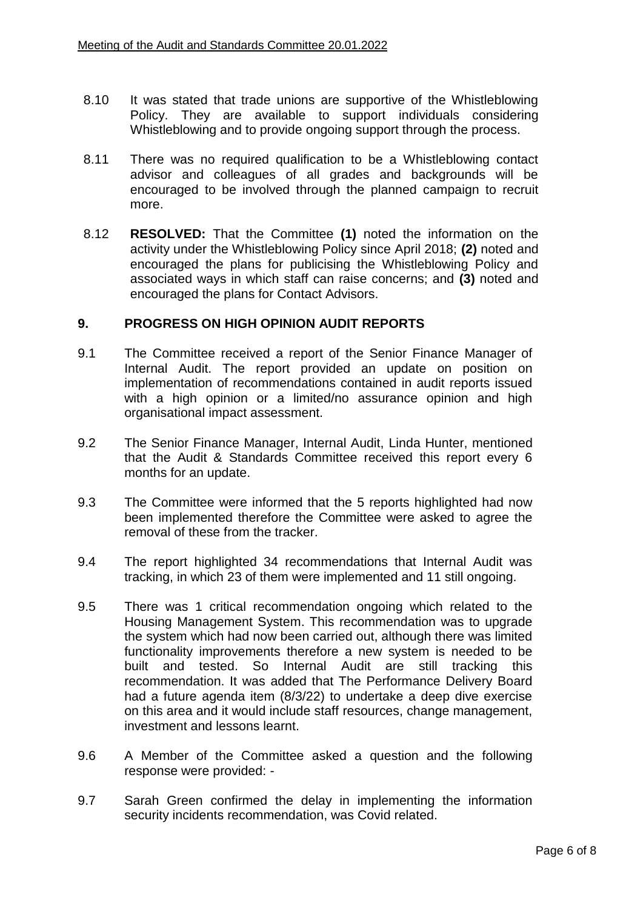- 8.10 It was stated that trade unions are supportive of the Whistleblowing Policy. They are available to support individuals considering Whistleblowing and to provide ongoing support through the process.
- 8.11 There was no required qualification to be a Whistleblowing contact advisor and colleagues of all grades and backgrounds will be encouraged to be involved through the planned campaign to recruit more.
- 8.12 **RESOLVED:** That the Committee **(1)** noted the information on the activity under the Whistleblowing Policy since April 2018; **(2)** noted and encouraged the plans for publicising the Whistleblowing Policy and associated ways in which staff can raise concerns; and **(3)** noted and encouraged the plans for Contact Advisors.

#### **9. PROGRESS ON HIGH OPINION AUDIT REPORTS**

- 9.1 The Committee received a report of the Senior Finance Manager of Internal Audit. The report provided an update on position on implementation of recommendations contained in audit reports issued with a high opinion or a limited/no assurance opinion and high organisational impact assessment.
- 9.2 The Senior Finance Manager, Internal Audit, Linda Hunter, mentioned that the Audit & Standards Committee received this report every 6 months for an update.
- 9.3 The Committee were informed that the 5 reports highlighted had now been implemented therefore the Committee were asked to agree the removal of these from the tracker.
- 9.4 The report highlighted 34 recommendations that Internal Audit was tracking, in which 23 of them were implemented and 11 still ongoing.
- 9.5 There was 1 critical recommendation ongoing which related to the Housing Management System. This recommendation was to upgrade the system which had now been carried out, although there was limited functionality improvements therefore a new system is needed to be built and tested. So Internal Audit are still tracking this recommendation. It was added that The Performance Delivery Board had a future agenda item (8/3/22) to undertake a deep dive exercise on this area and it would include staff resources, change management, investment and lessons learnt.
- 9.6 A Member of the Committee asked a question and the following response were provided: -
- 9.7 Sarah Green confirmed the delay in implementing the information security incidents recommendation, was Covid related.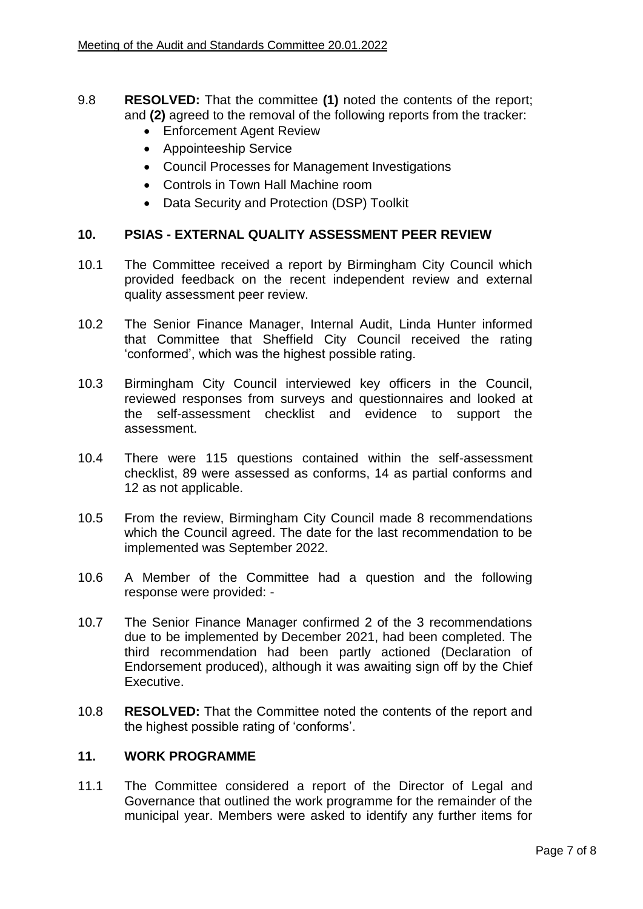- 9.8 **RESOLVED:** That the committee **(1)** noted the contents of the report; and **(2)** agreed to the removal of the following reports from the tracker:
	- Enforcement Agent Review
	- Appointeeship Service
	- Council Processes for Management Investigations
	- Controls in Town Hall Machine room
	- Data Security and Protection (DSP) Toolkit

# **10. PSIAS - EXTERNAL QUALITY ASSESSMENT PEER REVIEW**

- 10.1 The Committee received a report by Birmingham City Council which provided feedback on the recent independent review and external quality assessment peer review.
- 10.2 The Senior Finance Manager, Internal Audit, Linda Hunter informed that Committee that Sheffield City Council received the rating 'conformed', which was the highest possible rating.
- 10.3 Birmingham City Council interviewed key officers in the Council, reviewed responses from surveys and questionnaires and looked at the self-assessment checklist and evidence to support the assessment.
- 10.4 There were 115 questions contained within the self-assessment checklist, 89 were assessed as conforms, 14 as partial conforms and 12 as not applicable.
- 10.5 From the review, Birmingham City Council made 8 recommendations which the Council agreed. The date for the last recommendation to be implemented was September 2022.
- 10.6 A Member of the Committee had a question and the following response were provided: -
- 10.7 The Senior Finance Manager confirmed 2 of the 3 recommendations due to be implemented by December 2021, had been completed. The third recommendation had been partly actioned (Declaration of Endorsement produced), although it was awaiting sign off by the Chief Executive.
- 10.8 **RESOLVED:** That the Committee noted the contents of the report and the highest possible rating of 'conforms'.

#### **11. WORK PROGRAMME**

11.1 The Committee considered a report of the Director of Legal and Governance that outlined the work programme for the remainder of the municipal year. Members were asked to identify any further items for